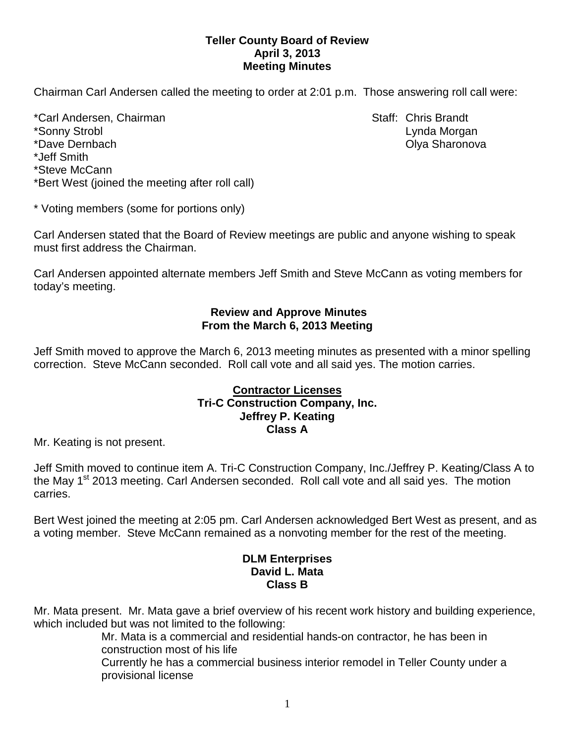## **Teller County Board of Review April 3, 2013 Meeting Minutes**

Chairman Carl Andersen called the meeting to order at 2:01 p.m. Those answering roll call were:

\*Carl Andersen, Chairman Staff: Chris Brandt \*Sonny Strobl Lynda Morgan \*Dave Dernbach Olya Sharonova \*Jeff Smith \*Steve McCann \*Bert West (joined the meeting after roll call)

\* Voting members (some for portions only)

Carl Andersen stated that the Board of Review meetings are public and anyone wishing to speak must first address the Chairman.

Carl Andersen appointed alternate members Jeff Smith and Steve McCann as voting members for today's meeting.

# **Review and Approve Minutes From the March 6, 2013 Meeting**

Jeff Smith moved to approve the March 6, 2013 meeting minutes as presented with a minor spelling correction. Steve McCann seconded.Roll call vote and all said yes. The motion carries.

#### **Contractor Licenses Tri-C Construction Company, Inc. Jeffrey P. Keating Class A**

Mr. Keating is not present.

Jeff Smith moved to continue item A. Tri-C Construction Company, Inc./Jeffrey P. Keating/Class A to the May 1<sup>st</sup> 2013 meeting. Carl Andersen seconded. Roll call vote and all said yes. The motion carries.

Bert West joined the meeting at 2:05 pm. Carl Andersen acknowledged Bert West as present, and as a voting member. Steve McCann remained as a nonvoting member for the rest of the meeting.

# **DLM Enterprises David L. Mata Class B**

Mr. Mata present. Mr. Mata gave a brief overview of his recent work history and building experience, which included but was not limited to the following:

Mr. Mata is a commercial and residential hands-on contractor, he has been in construction most of his life

Currently he has a commercial business interior remodel in Teller County under a provisional license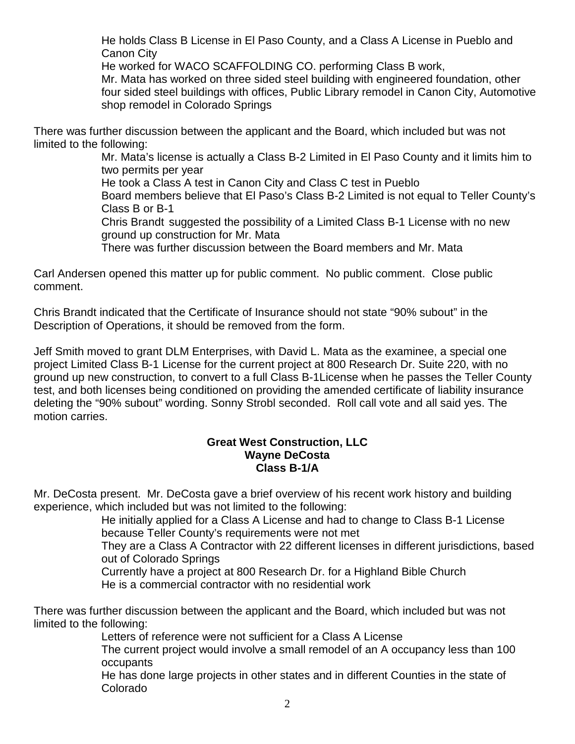He holds Class B License in El Paso County, and a Class A License in Pueblo and Canon City

He worked for WACO SCAFFOLDING CO. performing Class B work, Mr. Mata has worked on three sided steel building with engineered foundation, other four sided steel buildings with offices, Public Library remodel in Canon City, Automotive shop remodel in Colorado Springs

There was further discussion between the applicant and the Board, which included but was not limited to the following:

Mr. Mata's license is actually a Class B-2 Limited in El Paso County and it limits him to two permits per year

He took a Class A test in Canon City and Class C test in Pueblo

Board members believe that El Paso's Class B-2 Limited is not equal to Teller County's Class B or B-1

Chris Brandt suggested the possibility of a Limited Class B-1 License with no new ground up construction for Mr. Mata

There was further discussion between the Board members and Mr. Mata

Carl Andersen opened this matter up for public comment. No public comment. Close public comment.

Chris Brandt indicated that the Certificate of Insurance should not state "90% subout" in the Description of Operations, it should be removed from the form.

Jeff Smith moved to grant DLM Enterprises, with David L. Mata as the examinee, a special one project Limited Class B-1 License for the current project at 800 Research Dr. Suite 220, with no ground up new construction, to convert to a full Class B-1License when he passes the Teller County test, and both licenses being conditioned on providing the amended certificate of liability insurance deleting the "90% subout" wording. Sonny Strobl seconded. Roll call vote and all said yes. The motion carries.

# **Great West Construction, LLC Wayne DeCosta Class B-1/A**

Mr. DeCosta present. Mr. DeCosta gave a brief overview of his recent work history and building experience, which included but was not limited to the following:

He initially applied for a Class A License and had to change to Class B-1 License because Teller County's requirements were not met

They are a Class A Contractor with 22 different licenses in different jurisdictions, based out of Colorado Springs

Currently have a project at 800 Research Dr. for a Highland Bible Church He is a commercial contractor with no residential work

There was further discussion between the applicant and the Board, which included but was not limited to the following:

Letters of reference were not sufficient for a Class A License

The current project would involve a small remodel of an A occupancy less than 100 occupants

He has done large projects in other states and in different Counties in the state of Colorado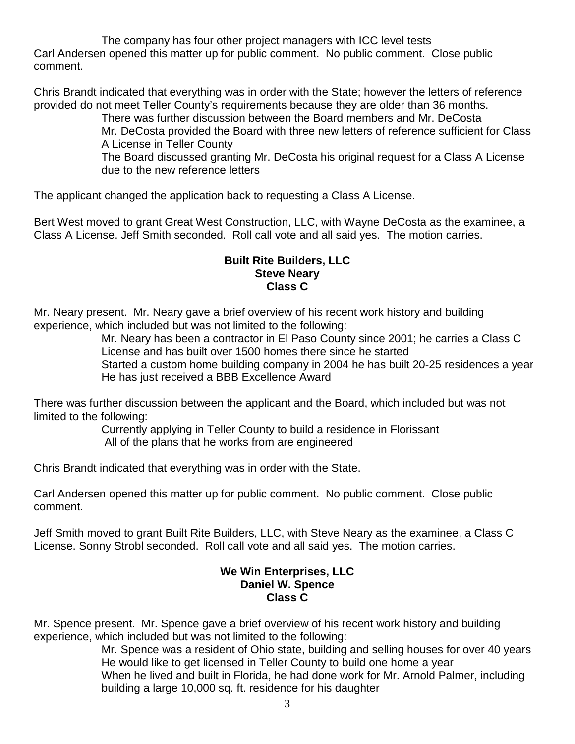The company has four other project managers with ICC level tests Carl Andersen opened this matter up for public comment. No public comment. Close public comment.

Chris Brandt indicated that everything was in order with the State; however the letters of reference provided do not meet Teller County's requirements because they are older than 36 months.

There was further discussion between the Board members and Mr. DeCosta Mr. DeCosta provided the Board with three new letters of reference sufficient for Class

A License in Teller County

The Board discussed granting Mr. DeCosta his original request for a Class A License due to the new reference letters

The applicant changed the application back to requesting a Class A License.

Bert West moved to grant Great West Construction, LLC, with Wayne DeCosta as the examinee, a Class A License. Jeff Smith seconded. Roll call vote and all said yes. The motion carries.

## **Built Rite Builders, LLC Steve Neary Class C**

Mr. Neary present. Mr. Neary gave a brief overview of his recent work history and building experience, which included but was not limited to the following:

Mr. Neary has been a contractor in El Paso County since 2001; he carries a Class C License and has built over 1500 homes there since he started

Started a custom home building company in 2004 he has built 20-25 residences a year He has just received a BBB Excellence Award

There was further discussion between the applicant and the Board, which included but was not limited to the following:

Currently applying in Teller County to build a residence in Florissant All of the plans that he works from are engineered

Chris Brandt indicated that everything was in order with the State.

Carl Andersen opened this matter up for public comment. No public comment. Close public comment.

Jeff Smith moved to grant Built Rite Builders, LLC, with Steve Neary as the examinee, a Class C License. Sonny Strobl seconded. Roll call vote and all said yes. The motion carries.

## **We Win Enterprises, LLC Daniel W. Spence Class C**

Mr. Spence present. Mr. Spence gave a brief overview of his recent work history and building experience, which included but was not limited to the following:

Mr. Spence was a resident of Ohio state, building and selling houses for over 40 years He would like to get licensed in Teller County to build one home a year When he lived and built in Florida, he had done work for Mr. Arnold Palmer, including building a large 10,000 sq. ft. residence for his daughter